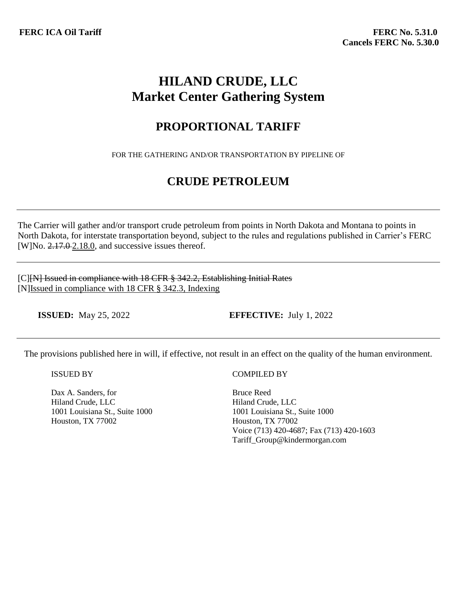# **HILAND CRUDE, LLC Market Center Gathering System**

## **PROPORTIONAL TARIFF**

FOR THE GATHERING AND/OR TRANSPORTATION BY PIPELINE OF

## **CRUDE PETROLEUM**

The Carrier will gather and/or transport crude petroleum from points in North Dakota and Montana to points in North Dakota, for interstate transportation beyond, subject to the rules and regulations published in Carrier's FERC [W]No.  $2.17.02.18.0$ , and successive issues thereof.

[C][N] Issued in compliance with 18 CFR § 342.2, Establishing Initial Rates [N]Issued in compliance with 18 CFR § 342.3, Indexing

**ISSUED:** May 25, 2022 **EFFECTIVE:** July 1, 2022

The provisions published here in will, if effective, not result in an effect on the quality of the human environment.

ISSUED BY

Dax A. Sanders, for Hiland Crude, LLC 1001 Louisiana St., Suite 1000 Houston, TX 77002

### COMPILED BY

Bruce Reed Hiland Crude, LLC 1001 Louisiana St., Suite 1000 Houston, TX 77002 Voice (713) 420-4687; Fax (713) 420-1603 Tariff\_Group@kindermorgan.com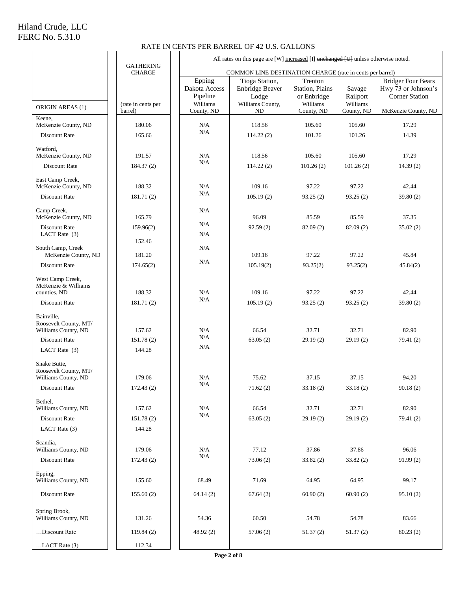#### RATE IN CENTS PER BARREL OF 42 U.S. GALLONS

|                                                         |                                   | All rates on this page are [W] increased [I] unchanged [U] unless otherwise noted. |                                                                |                                                       |                                |                                                                    |
|---------------------------------------------------------|-----------------------------------|------------------------------------------------------------------------------------|----------------------------------------------------------------|-------------------------------------------------------|--------------------------------|--------------------------------------------------------------------|
|                                                         | <b>GATHERING</b><br><b>CHARGE</b> | COMMON LINE DESTINATION CHARGE (rate in cents per barrel)                          |                                                                |                                                       |                                |                                                                    |
| ORIGIN AREAS (1)                                        | (rate in cents per                | Epping<br>Dakota Access<br>Pipeline<br>Williams                                    | Tioga Station,<br>Enbridge Beaver<br>Lodge<br>Williams County, | Trenton<br>Station, Plains<br>or Enbridge<br>Williams | Savage<br>Railport<br>Williams | <b>Bridger Four Bears</b><br>Hwy 73 or Johnson's<br>Corner Station |
| Keene,                                                  | barrel)                           | County, ND                                                                         | ND                                                             | County, ND                                            | County, ND                     | McKenzie County, ND                                                |
| McKenzie County, ND                                     | 180.06                            | N/A<br>N/A                                                                         | 118.56                                                         | 105.60                                                | 105.60                         | 17.29                                                              |
| Discount Rate                                           | 165.66                            |                                                                                    | 114.22(2)                                                      | 101.26                                                | 101.26                         | 14.39                                                              |
| Watford,<br>McKenzie County, ND                         | 191.57                            | N/A                                                                                | 118.56                                                         | 105.60                                                | 105.60                         | 17.29                                                              |
| Discount Rate                                           | 184.37(2)                         | N/A                                                                                | 114.22(2)                                                      | 101.26(2)                                             | 101.26(2)                      | 14.39(2)                                                           |
|                                                         |                                   |                                                                                    |                                                                |                                                       |                                |                                                                    |
| East Camp Creek,<br>McKenzie County, ND                 | 188.32                            | N/A                                                                                | 109.16                                                         | 97.22                                                 | 97.22                          | 42.44                                                              |
| Discount Rate                                           | 181.71(2)                         | N/A                                                                                | 105.19(2)                                                      | 93.25(2)                                              | 93.25(2)                       | 39.80(2)                                                           |
| Camp Creek,                                             |                                   | N/A                                                                                |                                                                |                                                       |                                |                                                                    |
| McKenzie County, ND                                     | 165.79                            | N/A                                                                                | 96.09                                                          | 85.59                                                 | 85.59                          | 37.35                                                              |
| Discount Rate<br>LACT Rate (3)                          | 159.96(2)                         | N/A                                                                                | 92.59(2)                                                       | 82.09(2)                                              | 82.09(2)                       | 35.02(2)                                                           |
|                                                         | 152.46                            |                                                                                    |                                                                |                                                       |                                |                                                                    |
| South Camp, Creek<br>McKenzie County, ND                | 181.20                            | N/A                                                                                | 109.16                                                         | 97.22                                                 | 97.22                          | 45.84                                                              |
| Discount Rate                                           | 174.65(2)                         | N/A                                                                                | 105.19(2)                                                      | 93.25(2)                                              | 93.25(2)                       | 45.84(2)                                                           |
| West Camp Creek,<br>McKenzie & Williams<br>counties, ND | 188.32                            | N/A                                                                                | 109.16                                                         | 97.22                                                 | 97.22                          | 42.44                                                              |
| Discount Rate                                           | 181.71(2)                         | N/A                                                                                | 105.19(2)                                                      | 93.25(2)                                              | 93.25(2)                       | 39.80(2)                                                           |
|                                                         |                                   |                                                                                    |                                                                |                                                       |                                |                                                                    |
| Bainville,<br>Roosevelt County, MT/                     |                                   |                                                                                    |                                                                |                                                       |                                |                                                                    |
| Williams County, ND                                     | 157.62                            | N/A<br>N/A                                                                         | 66.54                                                          | 32.71                                                 | 32.71                          | 82.90                                                              |
| Discount Rate                                           | 151.78(2)                         | N/A                                                                                | 63.05(2)                                                       | 29.19(2)                                              | 29.19(2)                       | 79.41 (2)                                                          |
| LACT Rate $(3)$                                         | 144.28                            |                                                                                    |                                                                |                                                       |                                |                                                                    |
| Snake Butte,<br>Roosevelt County, MT/                   |                                   |                                                                                    |                                                                |                                                       |                                |                                                                    |
| Williams County, ND                                     | 179.06                            | N/A                                                                                | 75.62                                                          | 37.15                                                 | 37.15                          | 94.20                                                              |
| Discount Rate                                           | 172.43(2)                         | N/A                                                                                | 71.62(2)                                                       | 33.18(2)                                              | 33.18(2)                       | 90.18(2)                                                           |
| Bethel,                                                 |                                   |                                                                                    |                                                                |                                                       |                                |                                                                    |
| Williams County, ND                                     | 157.62                            | N/A<br>N/A                                                                         | 66.54                                                          | 32.71                                                 | 32.71                          | 82.90                                                              |
| Discount Rate<br>LACT Rate (3)                          | 151.78(2)<br>144.28               |                                                                                    | 63.05(2)                                                       | 29.19(2)                                              | 29.19(2)                       | 79.41(2)                                                           |
|                                                         |                                   |                                                                                    |                                                                |                                                       |                                |                                                                    |
| Scandia,<br>Williams County, ND                         | 179.06                            | N/A                                                                                | 77.12                                                          | 37.86                                                 | 37.86                          | 96.06                                                              |
| Discount Rate                                           | 172.43(2)                         | N/A                                                                                | 73.06(2)                                                       | 33.82(2)                                              | 33.82(2)                       | 91.99(2)                                                           |
| Epping,                                                 |                                   |                                                                                    |                                                                |                                                       |                                |                                                                    |
| Williams County, ND                                     | 155.60                            | 68.49                                                                              | 71.69                                                          | 64.95                                                 | 64.95                          | 99.17                                                              |
| Discount Rate                                           | 155.60(2)                         | 64.14(2)                                                                           | 67.64(2)                                                       | 60.90(2)                                              | 60.90(2)                       | 95.10(2)                                                           |
| Spring Brook,<br>Williams County, ND                    | 131.26                            | 54.36                                                                              | 60.50                                                          | 54.78                                                 | 54.78                          | 83.66                                                              |
| Discount Rate                                           | 119.84(2)                         | 48.92 (2)                                                                          | 57.06(2)                                                       | 51.37(2)                                              | 51.37(2)                       | 80.23(2)                                                           |
| $LACT Rate (3)$                                         | 112.34                            |                                                                                    |                                                                |                                                       |                                |                                                                    |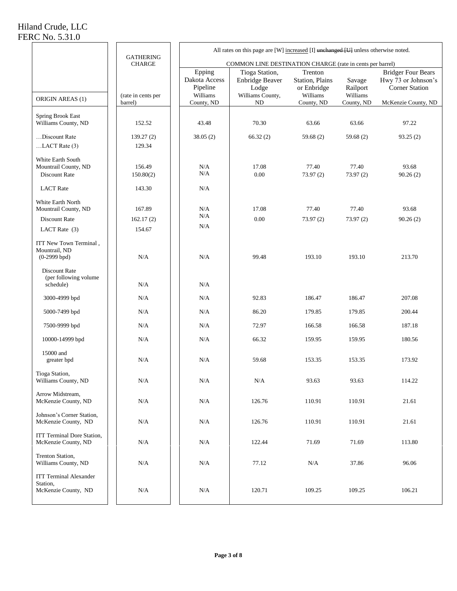# Hiland Crude, LLC

÷

FERC No. 5.31.0

|                                                                  |                                   | All rates on this page are [W] increased $[I]$ unchanged $[U]$ unless otherwise noted. |                                                                      |                                                                     |                                              |                                                                                                  |  |  |  |
|------------------------------------------------------------------|-----------------------------------|----------------------------------------------------------------------------------------|----------------------------------------------------------------------|---------------------------------------------------------------------|----------------------------------------------|--------------------------------------------------------------------------------------------------|--|--|--|
|                                                                  | <b>GATHERING</b><br><b>CHARGE</b> |                                                                                        | COMMON LINE DESTINATION CHARGE (rate in cents per barrel)            |                                                                     |                                              |                                                                                                  |  |  |  |
| ORIGIN AREAS (1)                                                 | (rate in cents per<br>barrel)     | Epping<br>Dakota Access<br>Pipeline<br>Williams<br>County, ND                          | Tioga Station,<br>Enbridge Beaver<br>Lodge<br>Williams County,<br>ND | Trenton<br>Station, Plains<br>or Enbridge<br>Williams<br>County, ND | Savage<br>Railport<br>Williams<br>County, ND | <b>Bridger Four Bears</b><br>Hwy 73 or Johnson's<br><b>Corner Station</b><br>McKenzie County, ND |  |  |  |
| Spring Brook East                                                |                                   |                                                                                        |                                                                      |                                                                     |                                              |                                                                                                  |  |  |  |
| Williams County, ND                                              | 152.52                            | 43.48                                                                                  | 70.30                                                                | 63.66                                                               | 63.66                                        | 97.22                                                                                            |  |  |  |
| Discount Rate<br>$LACT Rate(3)$                                  | 139.27(2)<br>129.34               | 38.05(2)                                                                               | 66.32(2)                                                             | 59.68 $(2)$                                                         | 59.68 $(2)$                                  | 93.25(2)                                                                                         |  |  |  |
| White Earth South<br>Mountrail County, ND<br>Discount Rate       | 156.49<br>150.80(2)               | N/A<br>N/A                                                                             | 17.08<br>0.00                                                        | 77.40<br>73.97(2)                                                   | 77.40<br>73.97(2)                            | 93.68<br>90.26(2)                                                                                |  |  |  |
| <b>LACT</b> Rate                                                 | 143.30                            | N/A                                                                                    |                                                                      |                                                                     |                                              |                                                                                                  |  |  |  |
| White Earth North<br>Mountrail County, ND<br>Discount Rate       | 167.89<br>162.17(2)               | N/A<br>N/A                                                                             | 17.08<br>0.00                                                        | 77.40<br>73.97(2)                                                   | 77.40<br>73.97(2)                            | 93.68<br>90.26(2)                                                                                |  |  |  |
| LACT Rate (3)                                                    | 154.67                            | N/A                                                                                    |                                                                      |                                                                     |                                              |                                                                                                  |  |  |  |
| ITT New Town Terminal,<br>Mountrail, ND<br>$(0-2999$ bpd)        | N/A                               | N/A                                                                                    | 99.48                                                                | 193.10                                                              | 193.10                                       | 213.70                                                                                           |  |  |  |
| Discount Rate<br>(per following volume<br>schedule)              | N/A                               | N/A                                                                                    |                                                                      |                                                                     |                                              |                                                                                                  |  |  |  |
| 3000-4999 bpd                                                    | N/A                               | N/A                                                                                    | 92.83                                                                | 186.47                                                              | 186.47                                       | 207.08                                                                                           |  |  |  |
| 5000-7499 bpd                                                    | N/A                               | N/A                                                                                    | 86.20                                                                | 179.85                                                              | 179.85                                       | 200.44                                                                                           |  |  |  |
| 7500-9999 bpd                                                    | N/A                               | N/A                                                                                    | 72.97                                                                | 166.58                                                              | 166.58                                       | 187.18                                                                                           |  |  |  |
| 10000-14999 bpd                                                  | N/A                               | N/A                                                                                    | 66.32                                                                | 159.95                                                              | 159.95                                       | 180.56                                                                                           |  |  |  |
| 15000 and<br>greater bpd                                         | N/A                               | N/A                                                                                    | 59.68                                                                | 153.35                                                              | 153.35                                       | 173.92                                                                                           |  |  |  |
| Tioga Station,<br>Williams County, ND                            | $\rm N/A$                         | $\rm N/A$                                                                              | $\rm N/A$                                                            | 93.63                                                               | 93.63                                        | 114.22                                                                                           |  |  |  |
| Arrow Midstream,<br>McKenzie County, ND                          | N/A                               | N/A                                                                                    | 126.76                                                               | 110.91                                                              | 110.91                                       | 21.61                                                                                            |  |  |  |
| Johnson's Corner Station,<br>McKenzie County, ND                 | N/A                               | N/A                                                                                    | 126.76                                                               | 110.91                                                              | 110.91                                       | 21.61                                                                                            |  |  |  |
| ITT Terminal Dore Station,<br>McKenzie County, ND                | N/A                               | N/A                                                                                    | 122.44                                                               | 71.69                                                               | 71.69                                        | 113.80                                                                                           |  |  |  |
| Trenton Station,<br>Williams County, ND                          | N/A                               | N/A                                                                                    | 77.12                                                                | N/A                                                                 | 37.86                                        | 96.06                                                                                            |  |  |  |
| <b>ITT Terminal Alexander</b><br>Station,<br>McKenzie County, ND | N/A                               | N/A                                                                                    | 120.71                                                               | 109.25                                                              | 109.25                                       | 106.21                                                                                           |  |  |  |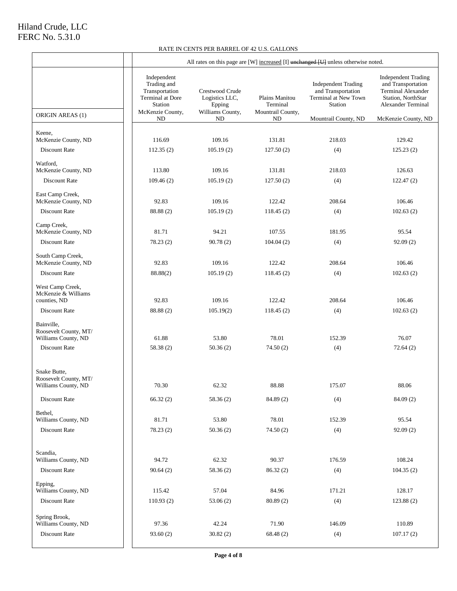#### RATE IN CENTS PER BARREL OF 42 U.S. GALLONS

|                                                                               | All rates on this page are [W] increased [I] unchanged [U] unless otherwise noted.                           |                                                                       |                                                       |                                                                                                                    |                                                                                                                                                         |
|-------------------------------------------------------------------------------|--------------------------------------------------------------------------------------------------------------|-----------------------------------------------------------------------|-------------------------------------------------------|--------------------------------------------------------------------------------------------------------------------|---------------------------------------------------------------------------------------------------------------------------------------------------------|
| ORIGIN AREAS (1)                                                              | Independent<br>Trading and<br>Transportation<br><b>Terminal at Dore</b><br>Station<br>McKenzie County,<br>ND | Crestwood Crude<br>Logistics LLC,<br>Epping<br>Williams County,<br>ND | Plains Manitou<br>Terminal<br>Mountrail County,<br>ND | <b>Independent Trading</b><br>and Transportation<br>Terminal at New Town<br><b>Station</b><br>Mountrail County, ND | <b>Independent Trading</b><br>and Transportation<br><b>Terminal Alexander</b><br>Station, NorthStar<br><b>Alexander Terminal</b><br>McKenzie County, ND |
|                                                                               |                                                                                                              |                                                                       |                                                       |                                                                                                                    |                                                                                                                                                         |
| Keene,<br>McKenzie County, ND                                                 | 116.69                                                                                                       | 109.16                                                                | 131.81                                                | 218.03                                                                                                             | 129.42                                                                                                                                                  |
| Discount Rate                                                                 | 112.35(2)                                                                                                    | 105.19(2)                                                             | 127.50(2)                                             | (4)                                                                                                                | 125.23(2)                                                                                                                                               |
| Watford,                                                                      |                                                                                                              |                                                                       |                                                       |                                                                                                                    |                                                                                                                                                         |
| McKenzie County, ND                                                           | 113.80                                                                                                       | 109.16                                                                | 131.81                                                | 218.03                                                                                                             | 126.63                                                                                                                                                  |
| Discount Rate                                                                 | 109.46(2)                                                                                                    | 105.19(2)                                                             | 127.50(2)                                             | (4)                                                                                                                | 122.47(2)                                                                                                                                               |
| East Camp Creek,                                                              |                                                                                                              |                                                                       |                                                       |                                                                                                                    |                                                                                                                                                         |
| McKenzie County, ND                                                           | 92.83                                                                                                        | 109.16                                                                | 122.42                                                | 208.64                                                                                                             | 106.46                                                                                                                                                  |
| Discount Rate                                                                 | 88.88 (2)                                                                                                    | 105.19(2)                                                             | 118.45(2)                                             | (4)                                                                                                                | 102.63(2)                                                                                                                                               |
| Camp Creek,                                                                   | 81.71                                                                                                        | 94.21                                                                 | 107.55                                                | 181.95                                                                                                             | 95.54                                                                                                                                                   |
| McKenzie County, ND<br>Discount Rate                                          | 78.23(2)                                                                                                     | 90.78(2)                                                              | 104.04(2)                                             | (4)                                                                                                                | 92.09(2)                                                                                                                                                |
|                                                                               |                                                                                                              |                                                                       |                                                       |                                                                                                                    |                                                                                                                                                         |
| South Camp Creek,<br>McKenzie County, ND                                      | 92.83                                                                                                        | 109.16                                                                | 122.42                                                | 208.64                                                                                                             | 106.46                                                                                                                                                  |
| Discount Rate                                                                 | 88.88(2)                                                                                                     | 105.19(2)                                                             | 118.45(2)                                             | (4)                                                                                                                | 102.63(2)                                                                                                                                               |
| West Camp Creek,<br>McKenzie & Williams<br>counties, ND                       | 92.83                                                                                                        | 109.16                                                                | 122.42                                                | 208.64                                                                                                             | 106.46                                                                                                                                                  |
| Discount Rate                                                                 | 88.88 (2)                                                                                                    | 105.19(2)                                                             | 118.45(2)                                             | (4)                                                                                                                | 102.63(2)                                                                                                                                               |
| Bainville,<br>Roosevelt County, MT/<br>Williams County, ND<br>Discount Rate   | 61.88<br>58.38 (2)                                                                                           | 53.80<br>50.36(2)                                                     | 78.01<br>74.50(2)                                     | 152.39<br>(4)                                                                                                      | 76.07<br>72.64(2)                                                                                                                                       |
| Snake Butte,<br>Roosevelt County, MT/<br>Williams County, ND<br>Discount Rate | 70.30<br>66.32(2)                                                                                            | 62.32<br>58.36(2)                                                     | 88.88<br>84.89 (2)                                    | 175.07<br>(4)                                                                                                      | 88.06<br>84.09(2)                                                                                                                                       |
| Bethel,                                                                       |                                                                                                              |                                                                       |                                                       |                                                                                                                    |                                                                                                                                                         |
| Williams County, ND                                                           | 81.71                                                                                                        | 53.80                                                                 | 78.01                                                 | 152.39                                                                                                             | 95.54                                                                                                                                                   |
| Discount Rate                                                                 | 78.23 (2)                                                                                                    | 50.36(2)                                                              | 74.50(2)                                              | (4)                                                                                                                | 92.09(2)                                                                                                                                                |
|                                                                               |                                                                                                              |                                                                       |                                                       |                                                                                                                    |                                                                                                                                                         |
| Scandia,                                                                      |                                                                                                              |                                                                       |                                                       |                                                                                                                    |                                                                                                                                                         |
| Williams County, ND                                                           | 94.72                                                                                                        | 62.32                                                                 | 90.37                                                 | 176.59                                                                                                             | 108.24                                                                                                                                                  |
| Discount Rate                                                                 | 90.64(2)                                                                                                     | 58.36 (2)                                                             | 86.32 (2)                                             | (4)                                                                                                                | 104.35(2)                                                                                                                                               |
| Epping,<br>Williams County, ND                                                | 115.42                                                                                                       | 57.04                                                                 | 84.96                                                 | 171.21                                                                                                             | 128.17                                                                                                                                                  |
| Discount Rate                                                                 | 110.93(2)                                                                                                    | 53.06(2)                                                              | 80.89 (2)                                             | (4)                                                                                                                | 123.88 (2)                                                                                                                                              |
|                                                                               |                                                                                                              |                                                                       |                                                       |                                                                                                                    |                                                                                                                                                         |
| Spring Brook,<br>Williams County, ND                                          | 97.36                                                                                                        | 42.24                                                                 | 71.90                                                 | 146.09                                                                                                             | 110.89                                                                                                                                                  |
| Discount Rate                                                                 | 93.60(2)                                                                                                     | 30.82(2)                                                              | 68.48(2)                                              | (4)                                                                                                                | 107.17(2)                                                                                                                                               |
|                                                                               |                                                                                                              |                                                                       |                                                       |                                                                                                                    |                                                                                                                                                         |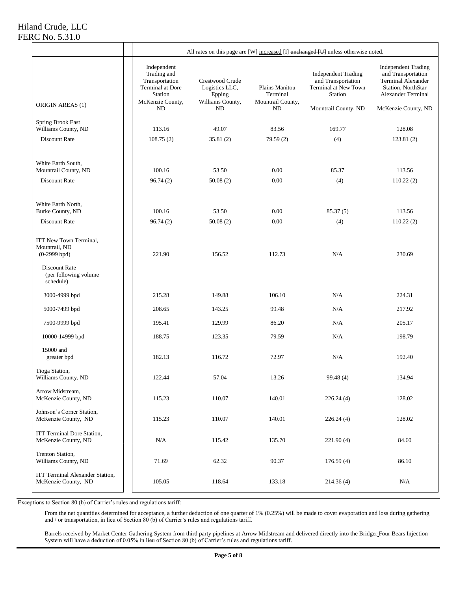|                                                                                                                  | All rates on this page are [W] increased [I] unchanged [U] unless otherwise noted.                                 |                                                                       |                                                               |                                                                                                                    |                                                                                                                                                         |  |
|------------------------------------------------------------------------------------------------------------------|--------------------------------------------------------------------------------------------------------------------|-----------------------------------------------------------------------|---------------------------------------------------------------|--------------------------------------------------------------------------------------------------------------------|---------------------------------------------------------------------------------------------------------------------------------------------------------|--|
| ORIGIN AREAS (1)                                                                                                 | Independent<br>Trading and<br>Transportation<br>Terminal at Dore<br><b>Station</b><br>McKenzie County,<br>$\rm ND$ | Crestwood Crude<br>Logistics LLC,<br>Epping<br>Williams County,<br>ND | Plains Manitou<br>Terminal<br>Mountrail County,<br>${\rm ND}$ | <b>Independent Trading</b><br>and Transportation<br>Terminal at New Town<br><b>Station</b><br>Mountrail County, ND | <b>Independent Trading</b><br>and Transportation<br><b>Terminal Alexander</b><br>Station, NorthStar<br><b>Alexander Terminal</b><br>McKenzie County, ND |  |
| Spring Brook East                                                                                                |                                                                                                                    |                                                                       |                                                               |                                                                                                                    |                                                                                                                                                         |  |
| Williams County, ND                                                                                              | 113.16                                                                                                             | 49.07                                                                 | 83.56                                                         | 169.77                                                                                                             | 128.08                                                                                                                                                  |  |
| <b>Discount Rate</b>                                                                                             | 108.75(2)                                                                                                          | 35.81(2)                                                              | 79.59(2)                                                      | (4)                                                                                                                | 123.81(2)                                                                                                                                               |  |
| White Earth South,<br>Mountrail County, ND                                                                       | 100.16                                                                                                             | 53.50                                                                 | 0.00                                                          | 85.37                                                                                                              | 113.56                                                                                                                                                  |  |
| <b>Discount Rate</b>                                                                                             | 96.74(2)                                                                                                           | 50.08(2)                                                              | 0.00                                                          | (4)                                                                                                                | 110.22(2)                                                                                                                                               |  |
| White Earth North.<br>Burke County, ND                                                                           | 100.16                                                                                                             | 53.50                                                                 | 0.00                                                          | 85.37(5)                                                                                                           | 113.56                                                                                                                                                  |  |
| Discount Rate                                                                                                    | 96.74(2)                                                                                                           | 50.08(2)                                                              | 0.00                                                          | (4)                                                                                                                | 110.22(2)                                                                                                                                               |  |
| ITT New Town Terminal,<br>Mountrail, ND<br>$(0-2999$ bpd)<br>Discount Rate<br>(per following volume<br>schedule) | 221.90                                                                                                             | 156.52                                                                | 112.73                                                        | N/A                                                                                                                | 230.69                                                                                                                                                  |  |
| 3000-4999 bpd                                                                                                    | 215.28                                                                                                             | 149.88                                                                | 106.10                                                        | N/A                                                                                                                | 224.31                                                                                                                                                  |  |
| 5000-7499 bpd                                                                                                    | 208.65                                                                                                             | 143.25                                                                | 99.48                                                         | N/A                                                                                                                | 217.92                                                                                                                                                  |  |
| 7500-9999 bpd                                                                                                    | 195.41                                                                                                             | 129.99                                                                | 86.20                                                         | N/A                                                                                                                | 205.17                                                                                                                                                  |  |
| 10000-14999 bpd                                                                                                  | 188.75                                                                                                             | 123.35                                                                | 79.59                                                         | N/A                                                                                                                | 198.79                                                                                                                                                  |  |
| 15000 and<br>greater bpd                                                                                         | 182.13                                                                                                             | 116.72                                                                | 72.97                                                         | N/A                                                                                                                | 192.40                                                                                                                                                  |  |
| Tioga Station,<br>Williams County, ND                                                                            | 122.44                                                                                                             | 57.04                                                                 | 13.26                                                         | 99.48 (4)                                                                                                          | 134.94                                                                                                                                                  |  |
| Arrow Midstream,<br>McKenzie County, ND                                                                          | 115.23                                                                                                             | 110.07                                                                | 140.01                                                        | 226.24(4)                                                                                                          | 128.02                                                                                                                                                  |  |
| Johnson's Corner Station,<br>McKenzie County, ND                                                                 | 115.23                                                                                                             | 110.07                                                                | 140.01                                                        | 226.24(4)                                                                                                          | 128.02                                                                                                                                                  |  |
| ITT Terminal Dore Station,<br>McKenzie County, ND                                                                | N/A                                                                                                                | 115.42                                                                | 135.70                                                        | 221.90 (4)                                                                                                         | 84.60                                                                                                                                                   |  |
| Trenton Station,<br>Williams County, ND                                                                          | 71.69                                                                                                              | 62.32                                                                 | 90.37                                                         | 176.59(4)                                                                                                          | 86.10                                                                                                                                                   |  |
| ITT Terminal Alexander Station,<br>McKenzie County, ND                                                           | 105.05                                                                                                             | 118.64                                                                | 133.18                                                        | 214.36(4)                                                                                                          | N/A                                                                                                                                                     |  |

Exceptions to Section 80 (b) of Carrier's rules and regulations tariff:

From the net quantities determined for acceptance, a further deduction of one quarter of 1% (0.25%) will be made to cover evaporation and loss during gathering and / or transportation, in lieu of Section 80 (b) of Carrier's rules and regulations tariff.

Barrels received by Market Center Gathering System from third party pipelines at Arrow Midstream and delivered directly into the Bridger Four Bears Injection System will have a deduction of 0.05% in lieu of Section 80 (b) of Carrier's rules and regulations tariff.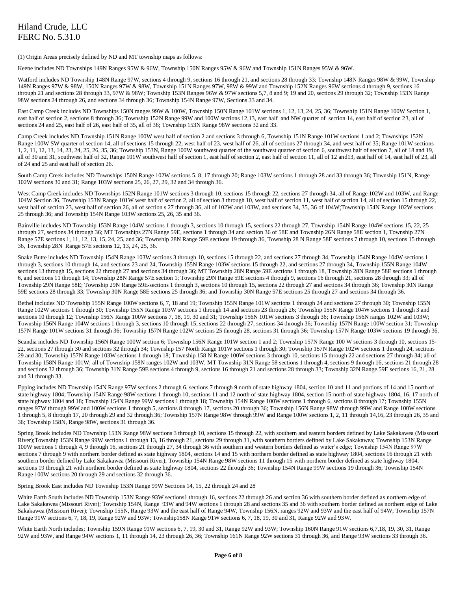(1) Origin Areas precisely defined by ND and MT township maps as follows:

Keene includes ND Townships 149N Ranges 95W & 96W, Township 150N Ranges 95W & 96W and Township 151N Ranges 95W & 96W.

Watford includes ND Township 148N Range 97W, sections 4 through 9, sections 16 through 21, and sections 28 through 33; Township 148N Ranges 98W & 99W, Township 149N Ranges 97W & 98W, 150N Ranges 97W & 98W, Township 151N Ranges 97W, 98W & 99W and Township 152N Ranges 96W sections 4 through 9, sections 16 through 21 and sections 28 through 33, 97W & 98W; Township 153N Ranges 96W & 97W sections 5.7, 8 and 9; 19 and 20, sections 29 through 32; Township 153N Range 98W sections 24 through 26, and sections 34 through 36; Township 154N Range 97W, Sections 33 and 34.

East Camp Creek includes ND Townships 150N ranges 99W & 100W, Township 150N Range 101W sections 1, 12, 13, 24, 25, 36; Township 151N Range 100W Section 1, east half of section 2, sections 8 through 36; Township 152N Range 99W and 100W sections 12,13, east half and NW quarter of section 14, east half of section 23, all of sections 24 and 25, east half of 26, east half of 35, all of 36; Township 153N Range 98W sections 32 and 33.

Camp Creek includes ND Township 151N Range 100W west half of section 2 and sections 3 through 6, Township 151N Range 101W sections 1 and 2; Townships 152N Range 100W SW quarter of section 14, all of sections 15 through 22, west half of 23, west half of 26, all of sections 27 through 34, and west half of 35; Range 101W sections 1, 2, 11, 12, 13, 14, 23, 24, 25, 26, 35, 36; Township 153N, Range 100W southwest quarter of the southwest quarter of section 6, southwest half of section 7, all of 18 and 19, all of 30 and 31, southwest half of 32, Range 101W southwest half of section 1, east half of section 2, east half of section 11, all of 12 and13, east half of 14, east half of 23, all of 24 and 25 and east half of section 26.

South Camp Creek includes ND Townships 150N Range 102W sections 5, 8, 17 through 20; Range 103W sections 1 through 28 and 33 through 36; Township 151N, Range 102W sections 30 and 31; Range 103W sections 25, 26, 27, 29, 32 and 34 through 36.

West Camp Creek includes ND Townships 152N Range 101W sections 3 through 10, sections 15 through 22, sections 27 through 34, all of Range 102W and 103W, and Range 104W Section 36, Township 153N Range 101W west half of section 2, all of section 3 through 10, west half of section 11, west half of section 14, all of section 15 through 22, west half of section 23, west half of section 26, all of section s 27 through 36, all of 102W and 103W, and sections 34, 35, 36 of 104W;Township 154N Range 102W sections 25 through 36; and Township 154N Range 103W sections 25, 26, 35 and 36.

Bainville includes ND Township 153N Range 104W sections 1 through 3, sections 10 through 15, sections 22 through 27, Township 154N Range 104W sections 15, 22, 25 through 27, sections 34 through 36; MT Townships 27N Range 59E, sections 1 through 34 and section 36 of 58E and Township 26N Range 58E section 1, Township 27N Range 57E sections 1, 11, 12, 13, 15, 24, 25, and 36; Township 28N Range 59E sections 19 through 36, Township 28 N Range 58E sections 7 through 10, sections 15 through 36, Township 28N Range 57E sections 12, 13, 24, 25, 36.

Snake Butte includes ND Township 154N Range 103W sections 3 through 10, sections 15 through 22, and sections 27 through 34, Township 154N Range 104W sections 1 through 3, sections 10 through 14, and sections 23 and 24, Township 155N Range 103W sections 15 through 22, and sections 27 through 34, Township 155N Range 104W sections 13 through 15, sections 22 through 27 and sections 34 through 36; MT Township 28N Range 59E sections 1 through 18, Township 28N Range 58E sections 1 through 6, and sections 11 through 14; Township 28N Range 57E section 1; Township 29N Range 59E sections 4 through 9, sections 16 through 21, sections 28 through 33; all of Township 29N Range 58E; Township 29N Range 59E sections 1 through 3, sections 10 through 15, sections 22 through 27 and sections 34 through 36; Township 30N Range 59E sections 28 through 33; Township 30N Range 58E sections 25 through 36; and Township 30N Range 57E sections 25 through 27 and sections 34 through 36.

Bethel includes ND Township 155N Range 100W sections 6, 7, 18 and 19; Township 155N Range 101W sections 1 through 24 and sections 27 through 30; Township 155N Range 102W sections 1 through 30; Township 155N Range 103W sections 1 through 14 and sections 23 through 26; Township 155N Range 104W sections 1 through 3 and sections 10 through 12; Township 156N Range 100W sections 7, 18, 19, 30 and 31; Township 156N 101W sections 3 through 36; Township 156N ranges 102W and 103W; Township 156N Range 104W sections 1 through 3, sections 10 through 15, sections 22 through 27, sections 34 through 36; Township 157N Range 100W section 31; Township 157N Range 101W sections 31 through 36; Township 157N Range 102W sections 25 through 28, sections 31 through 36; Township 157N Range 103W sections 19 through 36.

Scandia includes ND Township 156N Range 100W section 6; Township 156N Range 101W section 1 and 2; Township 157N Range 100 W sections 3 through 10, sections 15-22, sections 27 through 30 and sections 32 through 34; Township 157 North Range 101W sections 1 through 30; Township 157N Range 102W sections 1 through 24, sections 29 and 30; Township 157N Range 103W sections 1 through 18; Township 158 N Range 100W sections 3 through 10, sections 15 through 22 and sections 27 through 34; all of Township 158N Range 101W; all of Township 158N ranges 102W and 103W, MT Township 31N Range 58 sections 1 through 4, sections 9 through 16, sections 21 through 28 and sections 32 through 36; Township 31N Range 59E sections 4 through 9, sections 16 through 21 and sections 28 through 33; Township 32N Range 59E sections 16, 21, 28 and 31 through 33.

Epping includes ND Township 154N Range 97W sections 2 through 6, sections 7 through 9 north of state highway 1804, section 10 and 11 and portions of 14 and 15 north of state highway 1804; Township 154N Range 98W sections 1 through 10, sections 11 and 12 north of state highway 1804, section 15 north of state highway 1804, 16, 17 north of state highway 1804 and 18; Township 154N Range 99W sections 1 through 18; Township 154N Range 100W sections 1 through 6, sections 8 through 17; Township 155N ranges 97W through 99W and 100W sections 1 through 5, sections 8 through 17, sections 20 through 36; Township 156N Range 98W through 99W and Range 100W sections 1 through 5, 8 through 17, 20 through 29 and 32 through 36; Township 157N Range 98W through 99W and Range 100W sections 1, 2, 11 through 14,16, 23 through 26, 35 and 36; Township 158N, Range 98W, sections 31 through 36.

Spring Brook includes ND Township 153N Range 98W sections 3 through 10, sections 15 through 22, with southern and eastern borders defined by Lake Sakakawea (Missouri River);Township 153N Range 99W sections 1 through 13, 16 through 21, sections 29 through 31, with southern borders defined by Lake Sakakawea; Township 153N Range 100W sections 1 through 4, 9 through 16, sections 21 through 27, 34 through 36 with southern and western borders defined as water's edge; Township 154N Range 97W sections 7 through 9 with northern border defined as state highway 1804, sections 14 and 15 with northern border defined as state highway 1804, sections 16 through 21 with southern border defined by Lake Sakakawea (Missouri River); Township 154N Range 98W sections 11 through 15 with northern border defined as state highway 1804, sections 19 through 21 with northern border defined as state highway 1804, sections 22 through 36; Township 154N Range 99W sections 19 through 36; Township 154N Range 100W sections 20 through 29 and sections 32 through 36.

Spring Brook East includes ND Township 153N Range 99W Sections 14, 15, 22 through 24 and 28

White Earth South includes ND Township 153N Range 93W sections1 through 16, sections 22 through 26 and section 36 with southern border defined as northern edge of Lake Sakakawea (Missouri River); Township 154N, Range 93W and 94W sections 1 through 28 and sections 35 and 36 with southern border defined as northern edge of Lake Sakakawea (Missouri River); Township 155N, Range 93W and the east half of Range 94W, Township 156N, ranges 92W and 93W and the east half of 94W; Township 157N Range 91W sections 6, 7, 18, 19, Range 92W and 93W; Township158N Range 91W sections 6, 7, 18, 19, 30 and 31, Range 92W and 93W.

White Earth North includes; Township 159N Range 91W sections 6, 7, 19, 30 and 31, Range 92W and 93W; Township 160N Range 91W sections 6,7,18, 19, 30, 31, Range 92W and 93W, and Range 94W sections 1, 11 through 14, 23 through 26, 36; Township 161N Range 92W sections 31 through 36, and Range 93W sections 33 through 36.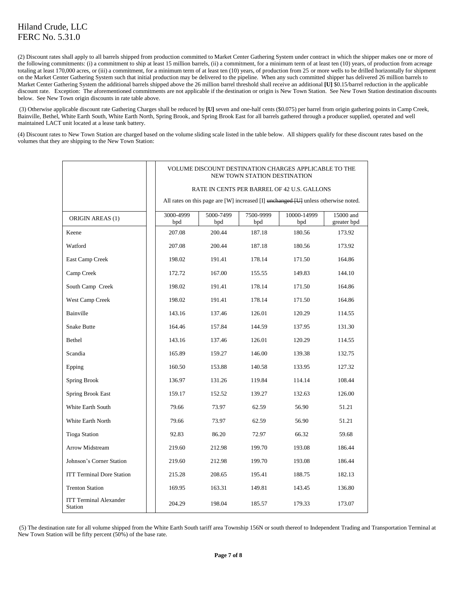(2) Discount rates shall apply to all barrels shipped from production committed to Market Center Gathering System under contract in which the shipper makes one or more of the following commitments: (i) a commitment to ship at least 15 million barrels, (ii) a commitment, for a minimum term of at least ten (10) years, of production from acreage totaling at least 170,000 acres, or (iii) a commitment, for a minimum term of at least ten (10) years, of production from 25 or more wells to be drilled horizontally for shipment on the Market Center Gathering System such that initial production may be delivered to the pipeline. When any such committed shipper has delivered 26 million barrels to Market Center Gathering System the additional barrels shipped above the 26 million barrel threshold shall receive an additional **[U]** \$0.15/barrel reduction in the applicable discount rate. Exception: The aforementioned commitments are not applicable if the destination or origin is New Town Station. See New Town Station destination discounts below. See New Town origin discounts in rate table above.

(3) Otherwise applicable discount rate Gathering Charges shall be reduced by **[U]** seven and one-half cents (\$0.075) per barrel from origin gathering points in Camp Creek, Bainville, Bethel, White Earth South, White Earth North, Spring Brook, and Spring Brook East for all barrels gathered through a producer supplied, operated and well maintained LACT unit located at a lease tank battery.

(4) Discount rates to New Town Station are charged based on the volume sliding scale listed in the table below. All shippers qualify for these discount rates based on the volumes that they are shipping to the New Town Station:

|                                          |                  | VOLUME DISCOUNT DESTINATION CHARGES APPLICABLE TO THE<br>NEW TOWN STATION DESTINATION       |                  |                    |                          |  |
|------------------------------------------|------------------|---------------------------------------------------------------------------------------------|------------------|--------------------|--------------------------|--|
|                                          |                  | RATE IN CENTS PER BARREL OF 42 U.S. GALLONS                                                 |                  |                    |                          |  |
|                                          |                  | All rates on this page are [W] increased [I] $\theta$ increased [U] unless otherwise noted. |                  |                    |                          |  |
| <b>ORIGIN AREAS (1)</b>                  | 3000-4999<br>bpd | 5000-7499<br>bpd                                                                            | 7500-9999<br>bpd | 10000-14999<br>bpd | 15000 and<br>greater bpd |  |
| Keene                                    | 207.08           | 200.44                                                                                      | 187.18           | 180.56             | 173.92                   |  |
| Watford                                  | 207.08           | 200.44                                                                                      | 187.18           | 180.56             | 173.92                   |  |
| East Camp Creek                          | 198.02           | 191.41                                                                                      | 178.14           | 171.50             | 164.86                   |  |
| Camp Creek                               | 172.72           | 167.00                                                                                      | 155.55           | 149.83             | 144.10                   |  |
| South Camp Creek                         | 198.02           | 191.41                                                                                      | 178.14           | 171.50             | 164.86                   |  |
| West Camp Creek                          | 198.02           | 191.41                                                                                      | 178.14           | 171.50             | 164.86                   |  |
| Bainville                                | 143.16           | 137.46                                                                                      | 126.01           | 120.29             | 114.55                   |  |
| <b>Snake Butte</b>                       | 164.46           | 157.84                                                                                      | 144.59           | 137.95             | 131.30                   |  |
| Bethel                                   | 143.16           | 137.46                                                                                      | 126.01           | 120.29             | 114.55                   |  |
| Scandia                                  | 165.89           | 159.27                                                                                      | 146.00           | 139.38             | 132.75                   |  |
| Epping                                   | 160.50           | 153.88                                                                                      | 140.58           | 133.95             | 127.32                   |  |
| Spring Brook                             | 136.97           | 131.26                                                                                      | 119.84           | 114.14             | 108.44                   |  |
| Spring Brook East                        | 159.17           | 152.52                                                                                      | 139.27           | 132.63             | 126.00                   |  |
| White Earth South                        | 79.66            | 73.97                                                                                       | 62.59            | 56.90              | 51.21                    |  |
| White Earth North                        | 79.66            | 73.97                                                                                       | 62.59            | 56.90              | 51.21                    |  |
| <b>Tioga Station</b>                     | 92.83            | 86.20                                                                                       | 72.97            | 66.32              | 59.68                    |  |
| Arrow Midstream                          | 219.60           | 212.98                                                                                      | 199.70           | 193.08             | 186.44                   |  |
| Johnson's Corner Station                 | 219.60           | 212.98                                                                                      | 199.70           | 193.08             | 186.44                   |  |
| <b>ITT Terminal Dore Station</b>         | 215.28           | 208.65                                                                                      | 195.41           | 188.75             | 182.13                   |  |
| <b>Trenton Station</b>                   | 169.95           | 163.31                                                                                      | 149.81           | 143.45             | 136.80                   |  |
| <b>ITT Terminal Alexander</b><br>Station | 204.29           | 198.04                                                                                      | 185.57           | 179.33             | 173.07                   |  |

(5) The destination rate for all volume shipped from the White Earth South tariff area Township 156N or south thereof to Independent Trading and Transportation Terminal at New Town Station will be fifty percent (50%) of the base rate.